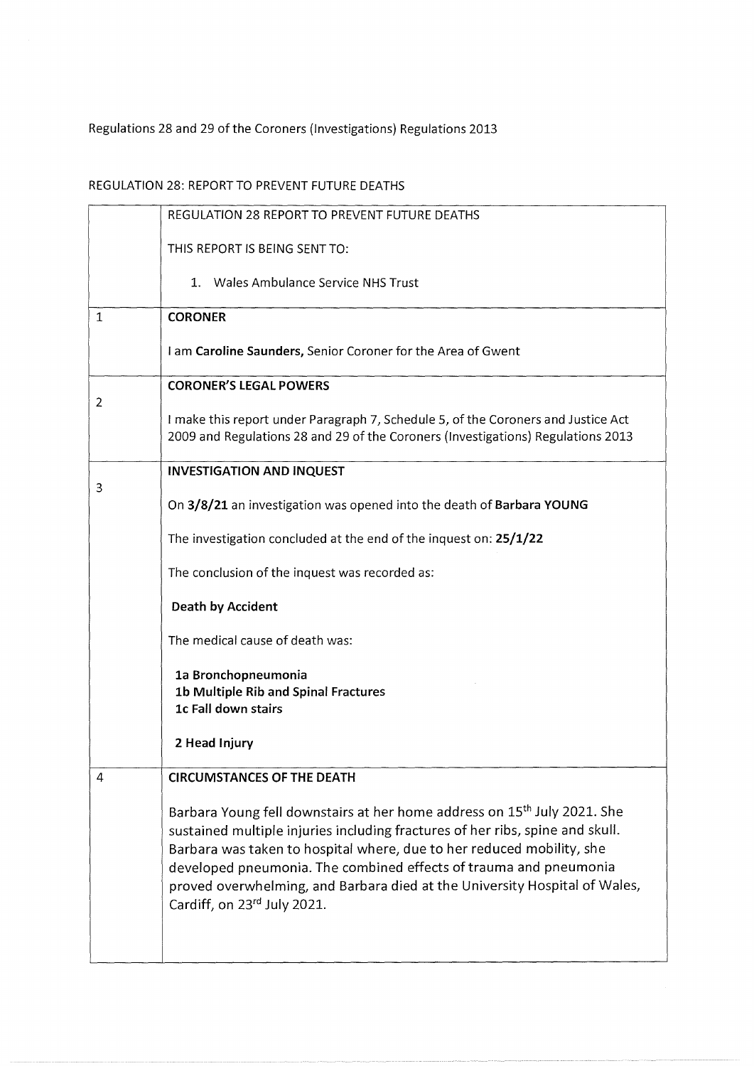Regulations 28 and 29 of the Coroners (Investigations) Regulations 2013

## REGULATION 28: REPORT TO PREVENT FUTURE DEATHS

|   | REGULATION 28 REPORT TO PREVENT FUTURE DEATHS                                                                                                                                                                                                                                                                                                                                                                                    |
|---|----------------------------------------------------------------------------------------------------------------------------------------------------------------------------------------------------------------------------------------------------------------------------------------------------------------------------------------------------------------------------------------------------------------------------------|
|   | THIS REPORT IS BEING SENT TO:                                                                                                                                                                                                                                                                                                                                                                                                    |
|   | 1. Wales Ambulance Service NHS Trust                                                                                                                                                                                                                                                                                                                                                                                             |
| 1 | <b>CORONER</b>                                                                                                                                                                                                                                                                                                                                                                                                                   |
|   | I am Caroline Saunders, Senior Coroner for the Area of Gwent                                                                                                                                                                                                                                                                                                                                                                     |
| 2 | <b>CORONER'S LEGAL POWERS</b>                                                                                                                                                                                                                                                                                                                                                                                                    |
|   | I make this report under Paragraph 7, Schedule 5, of the Coroners and Justice Act<br>2009 and Regulations 28 and 29 of the Coroners (Investigations) Regulations 2013                                                                                                                                                                                                                                                            |
|   | <b>INVESTIGATION AND INQUEST</b>                                                                                                                                                                                                                                                                                                                                                                                                 |
| 3 | On 3/8/21 an investigation was opened into the death of Barbara YOUNG                                                                                                                                                                                                                                                                                                                                                            |
|   | The investigation concluded at the end of the inquest on: 25/1/22                                                                                                                                                                                                                                                                                                                                                                |
|   | The conclusion of the inquest was recorded as:                                                                                                                                                                                                                                                                                                                                                                                   |
|   | <b>Death by Accident</b>                                                                                                                                                                                                                                                                                                                                                                                                         |
|   | The medical cause of death was:                                                                                                                                                                                                                                                                                                                                                                                                  |
|   | 1a Bronchopneumonia<br>1b Multiple Rib and Spinal Fractures<br>1c Fall down stairs                                                                                                                                                                                                                                                                                                                                               |
|   | 2 Head Injury                                                                                                                                                                                                                                                                                                                                                                                                                    |
| 4 | <b>CIRCUMSTANCES OF THE DEATH</b>                                                                                                                                                                                                                                                                                                                                                                                                |
|   | Barbara Young fell downstairs at her home address on 15 <sup>th</sup> July 2021. She<br>sustained multiple injuries including fractures of her ribs, spine and skull.<br>Barbara was taken to hospital where, due to her reduced mobility, she<br>developed pneumonia. The combined effects of trauma and pneumonia<br>proved overwhelming, and Barbara died at the University Hospital of Wales,<br>Cardiff, on 23rd July 2021. |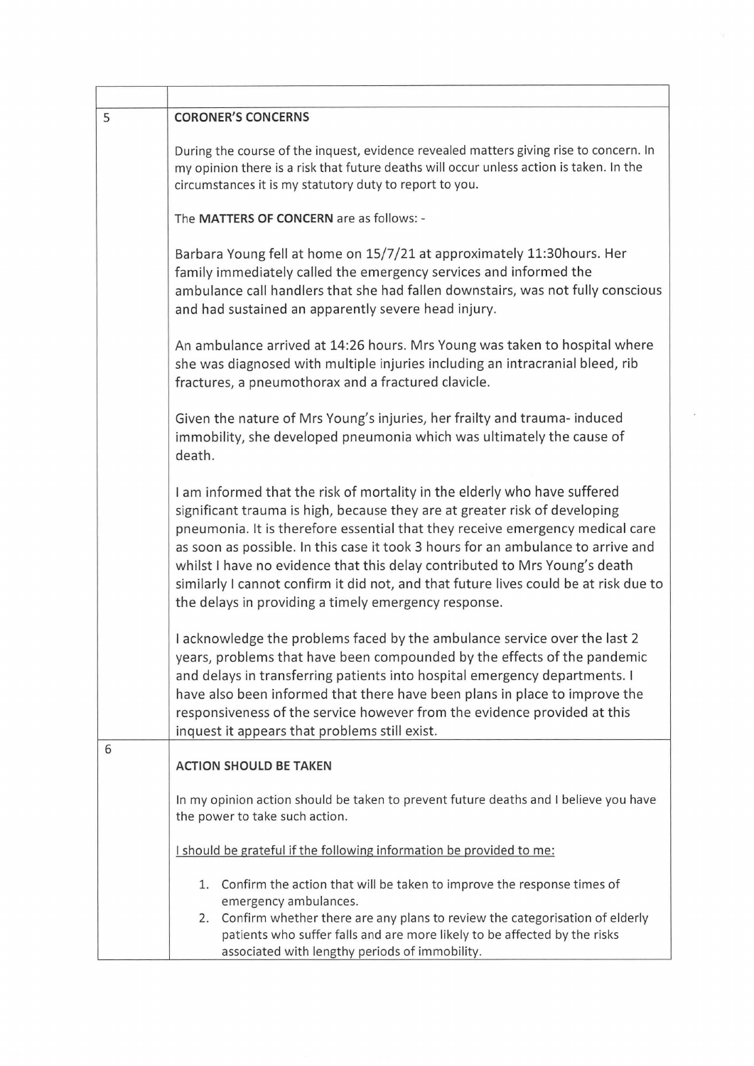| 5 | <b>CORONER'S CONCERNS</b>                                                                                                                                                                                                                                                                                                                                                                                                                                                                                                                                  |
|---|------------------------------------------------------------------------------------------------------------------------------------------------------------------------------------------------------------------------------------------------------------------------------------------------------------------------------------------------------------------------------------------------------------------------------------------------------------------------------------------------------------------------------------------------------------|
|   | During the course of the inquest, evidence revealed matters giving rise to concern. In<br>my opinion there is a risk that future deaths will occur unless action is taken. In the<br>circumstances it is my statutory duty to report to you.                                                                                                                                                                                                                                                                                                               |
|   | The MATTERS OF CONCERN are as follows: -                                                                                                                                                                                                                                                                                                                                                                                                                                                                                                                   |
|   | Barbara Young fell at home on 15/7/21 at approximately 11:30hours. Her<br>family immediately called the emergency services and informed the<br>ambulance call handlers that she had fallen downstairs, was not fully conscious<br>and had sustained an apparently severe head injury.                                                                                                                                                                                                                                                                      |
|   | An ambulance arrived at 14:26 hours. Mrs Young was taken to hospital where<br>she was diagnosed with multiple injuries including an intracranial bleed, rib<br>fractures, a pneumothorax and a fractured clavicle.                                                                                                                                                                                                                                                                                                                                         |
|   | Given the nature of Mrs Young's injuries, her frailty and trauma- induced<br>immobility, she developed pneumonia which was ultimately the cause of<br>death.                                                                                                                                                                                                                                                                                                                                                                                               |
|   | I am informed that the risk of mortality in the elderly who have suffered<br>significant trauma is high, because they are at greater risk of developing<br>pneumonia. It is therefore essential that they receive emergency medical care<br>as soon as possible. In this case it took 3 hours for an ambulance to arrive and<br>whilst I have no evidence that this delay contributed to Mrs Young's death<br>similarly I cannot confirm it did not, and that future lives could be at risk due to<br>the delays in providing a timely emergency response. |
|   | I acknowledge the problems faced by the ambulance service over the last 2<br>years, problems that have been compounded by the effects of the pandemic<br>and delays in transferring patients into hospital emergency departments. I<br>have also been informed that there have been plans in place to improve the<br>responsiveness of the service however from the evidence provided at this<br>inquest it appears that problems still exist.                                                                                                             |
| 6 | <b>ACTION SHOULD BE TAKEN</b>                                                                                                                                                                                                                                                                                                                                                                                                                                                                                                                              |
|   | In my opinion action should be taken to prevent future deaths and I believe you have<br>the power to take such action.                                                                                                                                                                                                                                                                                                                                                                                                                                     |
|   | I should be grateful if the following information be provided to me:                                                                                                                                                                                                                                                                                                                                                                                                                                                                                       |
|   | Confirm the action that will be taken to improve the response times of<br>1.<br>emergency ambulances.<br>2. Confirm whether there are any plans to review the categorisation of elderly<br>patients who suffer falls and are more likely to be affected by the risks<br>associated with lengthy periods of immobility.                                                                                                                                                                                                                                     |

 $\sim 10^{-11}$